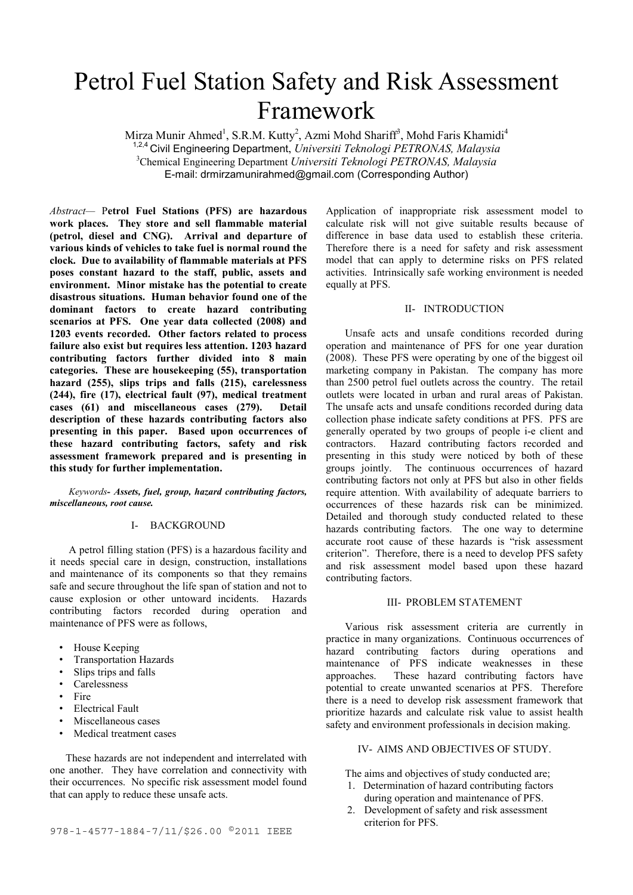# Petrol Fuel Station Safety and Risk Assessment Framework

Mirza Munir Ahmed<sup>1</sup>, S.R.M. Kutty<sup>2</sup>, Azmi Mohd Shariff<sup>3</sup>, Mohd Faris Khamidi<sup>4</sup> 1,2,4 Civil Engineering Department, *Universiti Teknologi PETRONAS, Malaysia* 3 Chemical Engineering Department *Universiti Teknologi PETRONAS, Malaysia* E-mail: drmirzamunirahmed@gmail.com (Corresponding Author)

*Abstract—* P**etrol Fuel Stations (PFS) are hazardous work places. They store and sell flammable material (petrol, diesel and CNG). Arrival and departure of various kinds of vehicles to take fuel is normal round the clock. Due to availability of flammable materials at PFS poses constant hazard to the staff, public, assets and environment. Minor mistake has the potential to create disastrous situations. Human behavior found one of the dominant factors to create hazard contributing scenarios at PFS. One year data collected (2008) and 1203 events recorded. Other factors related to process failure also exist but requires less attention. 1203 hazard contributing factors further divided into 8 main categories. These are housekeeping (55), transportation hazard (255), slips trips and falls (215), carelessness (244), fire (17), electrical fault (97), medical treatment cases (61) and miscellaneous cases (279). Detail description of these hazards contributing factors also presenting in this paper. Based upon occurrences of these hazard contributing factors, safety and risk assessment framework prepared and is presenting in this study for further implementation.** 

*Keywords- Assets, fuel, group, hazard contributing factors, miscellaneous, root cause.* 

## I- BACKGROUND

 A petrol filling station (PFS) is a hazardous facility and it needs special care in design, construction, installations and maintenance of its components so that they remains safe and secure throughout the life span of station and not to cause explosion or other untoward incidents. Hazards contributing factors recorded during operation and maintenance of PFS were as follows,

- House Keeping
- Transportation Hazards
- Slips trips and falls
- Carelessness
- Fire
- Electrical Fault
- Miscellaneous cases
- Medical treatment cases

 These hazards are not independent and interrelated with one another. They have correlation and connectivity with their occurrences. No specific risk assessment model found that can apply to reduce these unsafe acts.

Application of inappropriate risk assessment model to calculate risk will not give suitable results because of difference in base data used to establish these criteria. Therefore there is a need for safety and risk assessment model that can apply to determine risks on PFS related activities. Intrinsically safe working environment is needed equally at PFS.

## II- INTRODUCTION

 Unsafe acts and unsafe conditions recorded during operation and maintenance of PFS for one year duration (2008). These PFS were operating by one of the biggest oil marketing company in Pakistan. The company has more than 2500 petrol fuel outlets across the country. The retail outlets were located in urban and rural areas of Pakistan. The unsafe acts and unsafe conditions recorded during data collection phase indicate safety conditions at PFS. PFS are generally operated by two groups of people i-e client and contractors. Hazard contributing factors recorded and presenting in this study were noticed by both of these groups jointly. The continuous occurrences of hazard contributing factors not only at PFS but also in other fields require attention. With availability of adequate barriers to occurrences of these hazards risk can be minimized. Detailed and thorough study conducted related to these hazards contributing factors. The one way to determine accurate root cause of these hazards is "risk assessment criterion". Therefore, there is a need to develop PFS safety and risk assessment model based upon these hazard contributing factors.

## III- PROBLEM STATEMENT

 Various risk assessment criteria are currently in practice in many organizations. Continuous occurrences of hazard contributing factors during operations and maintenance of PFS indicate weaknesses in these approaches. These hazard contributing factors have potential to create unwanted scenarios at PFS. Therefore there is a need to develop risk assessment framework that prioritize hazards and calculate risk value to assist health safety and environment professionals in decision making.

# IV- AIMS AND OBJECTIVES OF STUDY.

 The aims and objectives of study conducted are; 1. Determination of hazard contributing factors

- during operation and maintenance of PFS.
- 2. Development of safety and risk assessment criterion for PFS.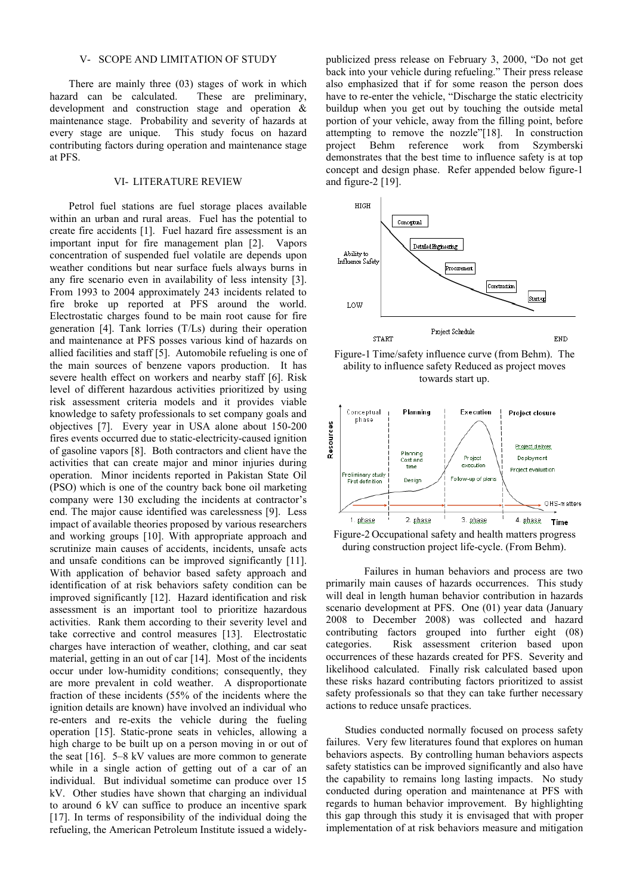#### V- SCOPE AND LIMITATION OF STUDY

There are mainly three (03) stages of work in which hazard can be calculated. These are preliminary, development and construction stage and operation & maintenance stage. Probability and severity of hazards at every stage are unique. This study focus on hazard contributing factors during operation and maintenance stage at PFS.

## VI- LITERATURE REVIEW

 Petrol fuel stations are fuel storage places available within an urban and rural areas. Fuel has the potential to create fire accidents [1]. Fuel hazard fire assessment is an important input for fire management plan [2]. Vapors concentration of suspended fuel volatile are depends upon weather conditions but near surface fuels always burns in any fire scenario even in availability of less intensity [3]. From 1993 to 2004 approximately 243 incidents related to fire broke up reported at PFS around the world. Electrostatic charges found to be main root cause for fire generation [4]. Tank lorries (T/Ls) during their operation and maintenance at PFS posses various kind of hazards on allied facilities and staff [5]. Automobile refueling is one of the main sources of benzene vapors production. It has severe health effect on workers and nearby staff [6]. Risk level of different hazardous activities prioritized by using risk assessment criteria models and it provides viable knowledge to safety professionals to set company goals and objectives [7]. Every year in USA alone about 150-200 fires events occurred due to static-electricity-caused ignition of gasoline vapors [8]. Both contractors and client have the activities that can create major and minor injuries during operation. Minor incidents reported in Pakistan State Oil (PSO) which is one of the country back bone oil marketing company were 130 excluding the incidents at contractor's end. The major cause identified was carelessness [9]. Less impact of available theories proposed by various researchers and working groups [10]. With appropriate approach and scrutinize main causes of accidents, incidents, unsafe acts and unsafe conditions can be improved significantly [11]. With application of behavior based safety approach and identification of at risk behaviors safety condition can be improved significantly [12]. Hazard identification and risk assessment is an important tool to prioritize hazardous activities. Rank them according to their severity level and take corrective and control measures [13]. Electrostatic charges have interaction of weather, clothing, and car seat material, getting in an out of car [14]. Most of the incidents occur under low-humidity conditions; consequently, they are more prevalent in cold weather. A disproportionate fraction of these incidents (55% of the incidents where the ignition details are known) have involved an individual who re-enters and re-exits the vehicle during the fueling operation [15]. Static-prone seats in vehicles, allowing a high charge to be built up on a person moving in or out of the seat [16]. 5–8 kV values are more common to generate while in a single action of getting out of a car of an individual. But individual sometime can produce over 15 kV. Other studies have shown that charging an individual to around 6 kV can suffice to produce an incentive spark [17]. In terms of responsibility of the individual doing the refueling, the American Petroleum Institute issued a widely-

publicized press release on February 3, 2000, "Do not get back into your vehicle during refueling." Their press release also emphasized that if for some reason the person does have to re-enter the vehicle, "Discharge the static electricity buildup when you get out by touching the outside metal portion of your vehicle, away from the filling point, before attempting to remove the nozzle"[18]. In construction project Behm reference work from Szymberski demonstrates that the best time to influence safety is at top concept and design phase. Refer appended below figure-1 and figure-2 [19].









 Failures in human behaviors and process are two primarily main causes of hazards occurrences. This study will deal in length human behavior contribution in hazards scenario development at PFS. One (01) year data (January 2008 to December 2008) was collected and hazard contributing factors grouped into further eight (08) categories. Risk assessment criterion based upon occurrences of these hazards created for PFS. Severity and likelihood calculated. Finally risk calculated based upon these risks hazard contributing factors prioritized to assist safety professionals so that they can take further necessary actions to reduce unsafe practices.

 Studies conducted normally focused on process safety failures. Very few literatures found that explores on human behaviors aspects. By controlling human behaviors aspects safety statistics can be improved significantly and also have the capability to remains long lasting impacts. No study conducted during operation and maintenance at PFS with regards to human behavior improvement. By highlighting this gap through this study it is envisaged that with proper implementation of at risk behaviors measure and mitigation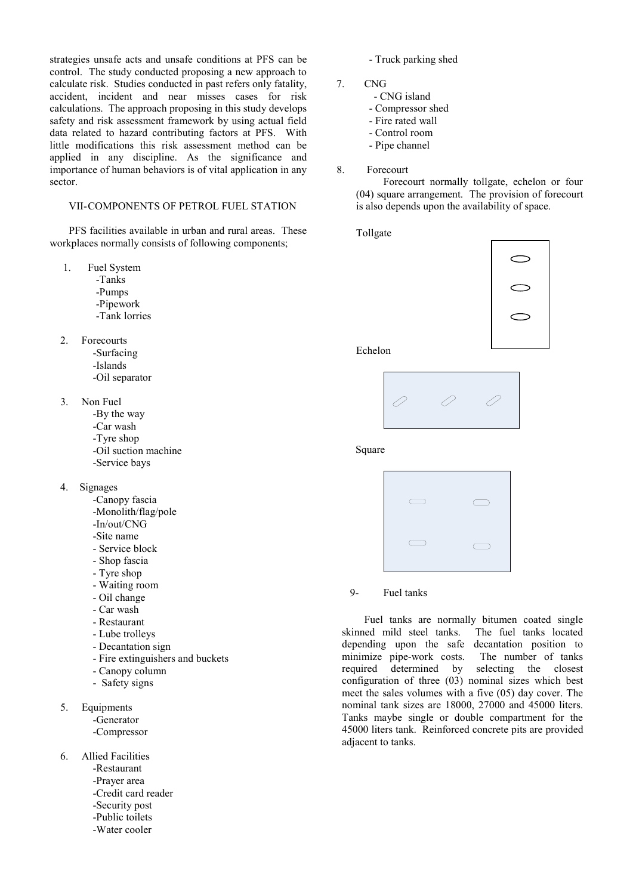strategies unsafe acts and unsafe conditions at PFS can be control. The study conducted proposing a new approach to calculate risk. Studies conducted in past refers only fatality, accident, incident and near misses cases for risk calculations. The approach proposing in this study develops safety and risk assessment framework by using actual field data related to hazard contributing factors at PFS. With little modifications this risk assessment method can be applied in any discipline. As the significance and importance of human behaviors is of vital application in any sector.

## VII- COMPONENTS OF PETROL FUEL STATION

 PFS facilities available in urban and rural areas. These workplaces normally consists of following components;

- 1. Fuel System
	- -Tanks -Pumps -Pipework
	- -Tank lorries
- 2. Forecourts
	- -Surfacing -Islands -Oil separator
- 3. Non Fuel
	- -By the way -Car wash -Tyre shop -Oil suction machine
	- -Service bays
- 4. Signages
	- -Canopy fascia
	- -Monolith/flag/pole
	- -In/out/CNG
	- -Site name
	- Service block
	- Shop fascia
	- Tyre shop
	- Waiting room
	- Oil change
	- Car wash
	- Restaurant
	- Lube trolleys
	- Decantation sign
	- Fire extinguishers and buckets
	- Canopy column
	- Safety signs
- 5. Equipments
	- -Generator
	- -Compressor
- 6. Allied Facilities
	- -Restaurant
	- -Prayer area
	- -Credit card reader -Security post
	- -Public toilets
	- -Water cooler
- Truck parking shed
- 7. CNG
	- CNG island
	- Compressor shed
	- Fire rated wall - Control room
	-
	- Pipe channel
- 8. Forecourt

 Forecourt normally tollgate, echelon or four (04) square arrangement. The provision of forecourt is also depends upon the availability of space.

Tollgate



Echelon



**Square** 



# 9- Fuel tanks

 Fuel tanks are normally bitumen coated single skinned mild steel tanks. The fuel tanks located depending upon the safe decantation position to minimize pipe-work costs. The number of tanks required determined by selecting the closest configuration of three (03) nominal sizes which best meet the sales volumes with a five (05) day cover. The nominal tank sizes are 18000, 27000 and 45000 liters. Tanks maybe single or double compartment for the 45000 liters tank. Reinforced concrete pits are provided adjacent to tanks.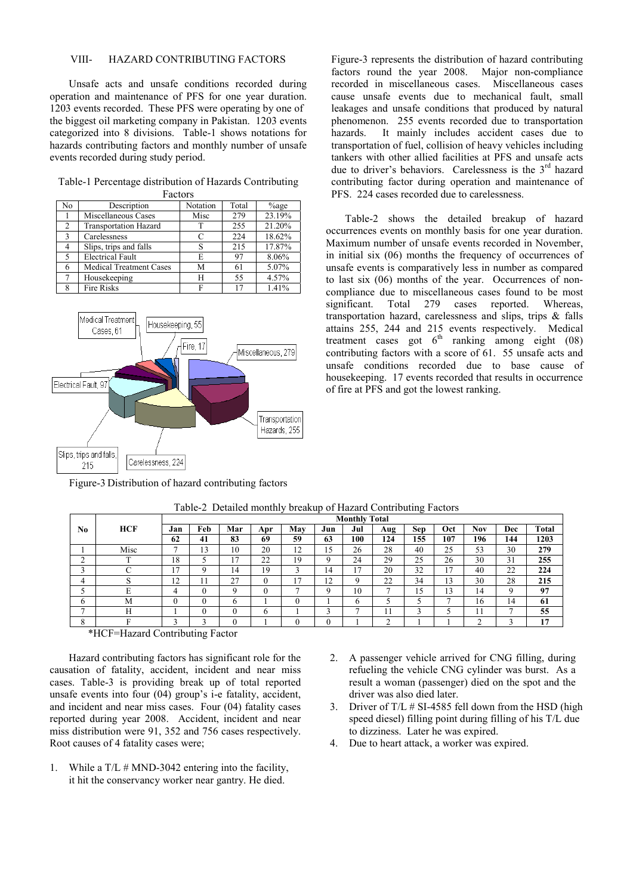#### VIII- HAZARD CONTRIBUTING FACTORS

 Unsafe acts and unsafe conditions recorded during operation and maintenance of PFS for one year duration. 1203 events recorded. These PFS were operating by one of the biggest oil marketing company in Pakistan. 1203 events categorized into 8 divisions. Table-1 shows notations for hazards contributing factors and monthly number of unsafe events recorded during study period.

|                | racivis                        |          |       |          |  |  |  |  |  |  |  |  |  |
|----------------|--------------------------------|----------|-------|----------|--|--|--|--|--|--|--|--|--|
| N <sub>0</sub> | Description                    | Notation | Total | $\%$ age |  |  |  |  |  |  |  |  |  |
|                | Miscellaneous Cases            | Misc     | 279   | 23.19%   |  |  |  |  |  |  |  |  |  |
| 2              | <b>Transportation Hazard</b>   | T        | 255   | 21.20%   |  |  |  |  |  |  |  |  |  |
| 3              | Carelessness                   | C        | 224   | 18.62%   |  |  |  |  |  |  |  |  |  |
| 4              | Slips, trips and falls         | S        | 215   | 17.87%   |  |  |  |  |  |  |  |  |  |
| 5.             | <b>Electrical Fault</b>        | E        | 97    | 8.06%    |  |  |  |  |  |  |  |  |  |
| 6              | <b>Medical Treatment Cases</b> | М        | 61    | 5.07%    |  |  |  |  |  |  |  |  |  |
|                | Housekeeping                   | H        | 55    | 4.57%    |  |  |  |  |  |  |  |  |  |
| 8              | <b>Fire Risks</b>              | F        | 17    | 1.41%    |  |  |  |  |  |  |  |  |  |

Table-1 Percentage distribution of Hazards Contributing Factors



Figure-3 Distribution of hazard contributing factors

Maximum number of unsafe events recorded in November, in initial six (06) months the frequency of occurrences of unsafe events is comparatively less in number as compared to last six (06) months of the year. Occurrences of noncompliance due to miscellaneous cases found to be most significant. Total 279 cases reported. Whereas,

PFS. 224 cases recorded due to carelessness.

transportation hazard, carelessness and slips, trips & falls attains 255, 244 and 215 events respectively. Medical treatment cases got  $6<sup>th</sup>$  ranking among eight (08) contributing factors with a score of 61. 55 unsafe acts and unsafe conditions recorded due to base cause of housekeeping. 17 events recorded that results in occurrence of fire at PFS and got the lowest ranking.

 Table-2 shows the detailed breakup of hazard occurrences events on monthly basis for one year duration.

Figure-3 represents the distribution of hazard contributing factors round the year 2008. Major non-compliance recorded in miscellaneous cases. Miscellaneous cases cause unsafe events due to mechanical fault, small leakages and unsafe conditions that produced by natural phenomenon. 255 events recorded due to transportation hazards. It mainly includes accident cases due to transportation of fuel, collision of heavy vehicles including tankers with other allied facilities at PFS and unsafe acts due to driver's behaviors. Carelessness is the 3<sup>rd</sup> hazard contributing factor during operation and maintenance of

|                      |                  | <b>Monthly Total</b>                  |              |          |     |     |          |     |        |            |              |            |     |              |
|----------------------|------------------|---------------------------------------|--------------|----------|-----|-----|----------|-----|--------|------------|--------------|------------|-----|--------------|
| N <sub>0</sub>       | <b>HCF</b>       | Jan                                   | Feb          | Mar      | Apr | May | Jun      | Jul | Aug    | <b>Sep</b> | Oct          | <b>Nov</b> | Dec | <b>Total</b> |
|                      |                  | 62                                    | 41           | 83       | 69  | 59  | 63       | 100 | 124    | 155        | 107          | 196        | 144 | 1203         |
|                      | Misc             | $\mathbf{r}$                          | 13           | 10       | 20  | 12  | 15       | 26  | 28     | 40         | 25           | 53         | 30  | 279          |
| ◠<br>∸               | $\sim$           | 18                                    |              | 17       | 22  | 19  | $\Omega$ | 24  | 29     | 25         | 26           | 30         | 31  | 255          |
| ◠                    |                  | 17                                    | 9            | 14       | 19  | ٩   | 14       | 17  | 20     | 32         | 17           | 40         | 22  | 224          |
| 4                    |                  | 12                                    | 11           | 27       |     | 17  | 12       | Q   | 22     | 34         | 13           | 30         | 28  | 215          |
| J                    | E                | 4                                     | $\theta$     | $\Omega$ |     |     | $\Omega$ | 10  | ⇁      | 15         | 13           | 14         | Q   | 97           |
| 6                    | M                | $\theta$                              | $\theta$     | 6        |     |     |          | b   |        |            | $\mathbf{r}$ | 16         | 14  | 61           |
| −                    | Н                |                                       | $\theta$     | $\theta$ | 6   |     | $\sim$   | −   | 11     | 3          |              | 11         |     | 55           |
| $\Omega$<br>$\Omega$ |                  |                                       | h            | $\theta$ |     |     |          |     | ◠<br>∽ |            |              | Δ          |     | 17           |
|                      | $\sim$<br>ATTATT | <b>Contact Contact Contact Street</b> | $\mathbf{r}$ |          |     |     |          |     |        |            |              |            |     |              |

Table-2 Detailed monthly breakup of Hazard Contributing Factors

\*HCF=Hazard Contributing Factor

Hazard contributing factors has significant role for the causation of fatality, accident, incident and near miss cases. Table-3 is providing break up of total reported unsafe events into four (04) group's i-e fatality, accident, and incident and near miss cases. Four (04) fatality cases reported during year 2008. Accident, incident and near miss distribution were 91, 352 and 756 cases respectively. Root causes of 4 fatality cases were;

- 1. While a T/L # MND-3042 entering into the facility, it hit the conservancy worker near gantry. He died.
- 2. A passenger vehicle arrived for CNG filling, during refueling the vehicle CNG cylinder was burst. As a result a woman (passenger) died on the spot and the driver was also died later.
- 3. Driver of T/L # SI-4585 fell down from the HSD (high speed diesel) filling point during filling of his T/L due to dizziness. Later he was expired.
- 4. Due to heart attack, a worker was expired.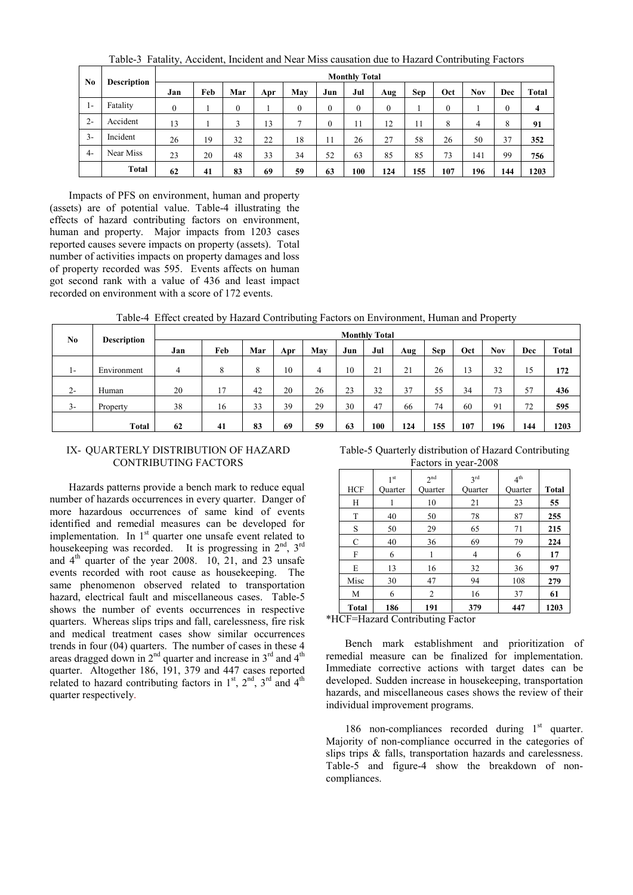| N <sub>0</sub> | <b>Description</b> | <b>Monthly Total</b> |     |                  |     |          |              |     |          |     |     |     |              |       |
|----------------|--------------------|----------------------|-----|------------------|-----|----------|--------------|-----|----------|-----|-----|-----|--------------|-------|
|                |                    | Jan                  | Feb | Mar              | Apr | May      | Jun          | Jul | Aug      | Sep | Oct | Nov | Dec          | Total |
| $\mathbf{I}$   | Fatality           | $\mathbf{0}$         |     | $\boldsymbol{0}$ |     | $\theta$ | $\theta$     | 0   | $\Omega$ |     | 0   |     | $\mathbf{0}$ | 4     |
| $2 -$          | Accident           | 13                   |     |                  | 13  | ┑        | $\mathbf{0}$ | 11  | 12       | 11  | 8   | 4   | 8            | 91    |
| $3-$           | Incident           | 26                   | 19  | 32               | 22  | 18       | 11           | 26  | 27       | 58  | 26  | 50  | 37           | 352   |
| $4-$           | Near Miss          | 23                   | 20  | 48               | 33  | 34       | 52           | 63  | 85       | 85  | 73  | 141 | 99           | 756   |
|                | <b>Total</b>       | 62                   | 41  | 83               | 69  | 59       | 63           | 100 | 124      | 155 | 107 | 196 | 144          | 1203  |

Table-3 Fatality, Accident, Incident and Near Miss causation due to Hazard Contributing Factors

Impacts of PFS on environment, human and property (assets) are of potential value. Table-4 illustrating the effects of hazard contributing factors on environment, human and property. Major impacts from 1203 cases reported causes severe impacts on property (assets). Total number of activities impacts on property damages and loss of property recorded was 595. Events affects on human got second rank with a value of 436 and least impact recorded on environment with a score of 172 events.

Table-4 Effect created by Hazard Contributing Factors on Environment, Human and Property

| N <sub>0</sub> | <b>Description</b> | <b>Monthly Total</b> |     |     |     |     |     |     |     |            |     |            |     |              |
|----------------|--------------------|----------------------|-----|-----|-----|-----|-----|-----|-----|------------|-----|------------|-----|--------------|
|                |                    | Jan                  | Feb | Mar | Apr | May | Jun | Jul | Aug | <b>Sep</b> | Oct | <b>Nov</b> | Dec | <b>Total</b> |
| $\mathbf{I}$   | Environment        | $\overline{4}$       | 8   | 8   | 10  | 4   | 10  | 21  | 21  | 26         | 13  | 32         | 15  | 172          |
| $2 -$          | Human              | 20                   | 17  | 42  | 20  | 26  | 23  | 32  | 37  | 55         | 34  | 73         | 57  | 436          |
| $3-$           | Property           | 38                   | 16  | 33  | 39  | 29  | 30  | 47  | 66  | 74         | 60  | 91         | 72  | 595          |
|                | Total              | 62                   | 41  | 83  | 69  | 59  | 63  | 100 | 124 | 155        | 107 | 196        | 144 | 1203         |

## IX- QUARTERLY DISTRIBUTION OF HAZARD CONTRIBUTING FACTORS

 Hazards patterns provide a bench mark to reduce equal number of hazards occurrences in every quarter. Danger of more hazardous occurrences of same kind of events identified and remedial measures can be developed for implementation. In  $1<sup>st</sup>$  quarter one unsafe event related to housekeeping was recorded. It is progressing in  $2<sup>nd</sup>$ ,  $3<sup>rd</sup>$ and  $4<sup>th</sup>$  quarter of the year 2008. 10, 21, and 23 unsafe events recorded with root cause as housekeeping. The same phenomenon observed related to transportation hazard, electrical fault and miscellaneous cases. Table-5 shows the number of events occurrences in respective quarters. Whereas slips trips and fall, carelessness, fire risk and medical treatment cases show similar occurrences trends in four (04) quarters. The number of cases in these 4 areas dragged down in  $2<sup>nd</sup>$  quarter and increase in  $3<sup>rd</sup>$  and  $4<sup>th</sup>$ quarter. Altogether 186, 191, 379 and 447 cases reported related to hazard contributing factors in  $1<sup>st</sup>$ ,  $2<sup>nd</sup>$ ,  $3<sup>rd</sup>$  and  $4<sup>th</sup>$ quarter respectively.

Table-5 Quarterly distribution of Hazard Contributing Factors in year-2008

| <b>HCF</b>   | 1 <sup>st</sup><br>Ouarter | 2 <sub>nd</sub><br>Ouarter | 2rd<br>Ouarter | 4 <sup>th</sup><br>Ouarter | Total |
|--------------|----------------------------|----------------------------|----------------|----------------------------|-------|
|              |                            |                            |                |                            |       |
| H            | 1                          | 10                         | 21             | 23                         | 55    |
| T            | 40                         | 50                         | 78             | 87                         | 255   |
| S            | 50                         | 29                         | 65             | 71                         | 215   |
| C            | 40                         | 36                         | 69             | 79                         | 224   |
| F            | 6                          | 1                          | $\overline{4}$ | 6                          | 17    |
| E            | 13                         | 16                         | 32             | 36                         | 97    |
| Misc         | 30                         | 47                         | 94             | 108                        | 279   |
| M            | 6                          | $\overline{2}$             | 16             | 37                         | 61    |
| <b>Total</b> | 186                        | 191                        | 379            | 447                        | 1203  |
|              |                            | $\blacksquare$             |                |                            |       |

\*HCF=Hazard Contributing Factor

 Bench mark establishment and prioritization of remedial measure can be finalized for implementation. Immediate corrective actions with target dates can be developed. Sudden increase in housekeeping, transportation hazards, and miscellaneous cases shows the review of their individual improvement programs.

186 non-compliances recorded during 1<sup>st</sup> quarter. Majority of non-compliance occurred in the categories of slips trips & falls, transportation hazards and carelessness. Table-5 and figure-4 show the breakdown of noncompliances.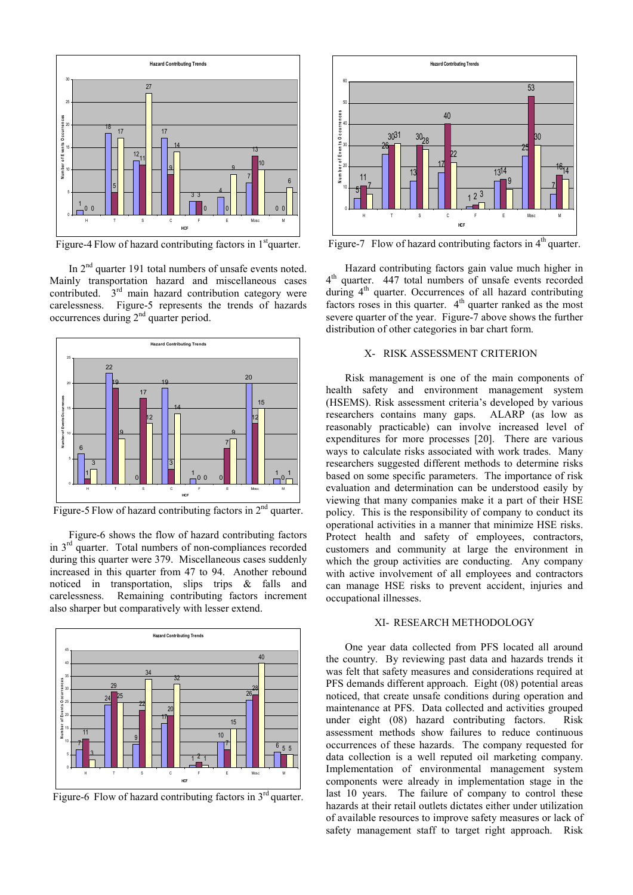

Figure-4 Flow of hazard contributing factors in  $1<sup>st</sup>$  quarter.

In  $2<sup>nd</sup>$  quarter 191 total numbers of unsafe events noted. Mainly transportation hazard and miscellaneous cases contributed.  $3<sup>rd</sup>$  main hazard contribution category were carelessness. Figure-5 represents the trends of hazards occurrences during 2nd quarter period.



Figure-5 Flow of hazard contributing factors in  $2<sup>nd</sup>$  quarter.

 Figure-6 shows the flow of hazard contributing factors in 3rd quarter. Total numbers of non-compliances recorded during this quarter were 379. Miscellaneous cases suddenly increased in this quarter from 47 to 94. Another rebound noticed in transportation, slips trips & falls and carelessness. Remaining contributing factors increment also sharper but comparatively with lesser extend.



Figure-6 Flow of hazard contributing factors in  $3<sup>rd</sup>$  quarter.



Figure-7 Flow of hazard contributing factors in  $4<sup>th</sup>$  quarter.

 Hazard contributing factors gain value much higher in 4th quarter. 447 total numbers of unsafe events recorded during  $4<sup>th</sup>$  quarter. Occurrences of all hazard contributing factors roses in this quarter.  $4<sup>th</sup>$  quarter ranked as the most severe quarter of the year. Figure-7 above shows the further distribution of other categories in bar chart form.

## X- RISK ASSESSMENT CRITERION

 Risk management is one of the main components of health safety and environment management system (HSEMS). Risk assessment criteria's developed by various researchers contains many gaps. ALARP (as low as reasonably practicable) can involve increased level of expenditures for more processes [20]. There are various ways to calculate risks associated with work trades. Many researchers suggested different methods to determine risks based on some specific parameters. The importance of risk evaluation and determination can be understood easily by viewing that many companies make it a part of their HSE policy. This is the responsibility of company to conduct its operational activities in a manner that minimize HSE risks. Protect health and safety of employees, contractors, customers and community at large the environment in which the group activities are conducting. Any company with active involvement of all employees and contractors can manage HSE risks to prevent accident, injuries and occupational illnesses.

#### XI- RESEARCH METHODOLOGY

 One year data collected from PFS located all around the country. By reviewing past data and hazards trends it was felt that safety measures and considerations required at PFS demands different approach. Eight (08) potential areas noticed, that create unsafe conditions during operation and maintenance at PFS. Data collected and activities grouped under eight (08) hazard contributing factors. Risk assessment methods show failures to reduce continuous occurrences of these hazards. The company requested for data collection is a well reputed oil marketing company. Implementation of environmental management system components were already in implementation stage in the last 10 years. The failure of company to control these hazards at their retail outlets dictates either under utilization of available resources to improve safety measures or lack of safety management staff to target right approach. Risk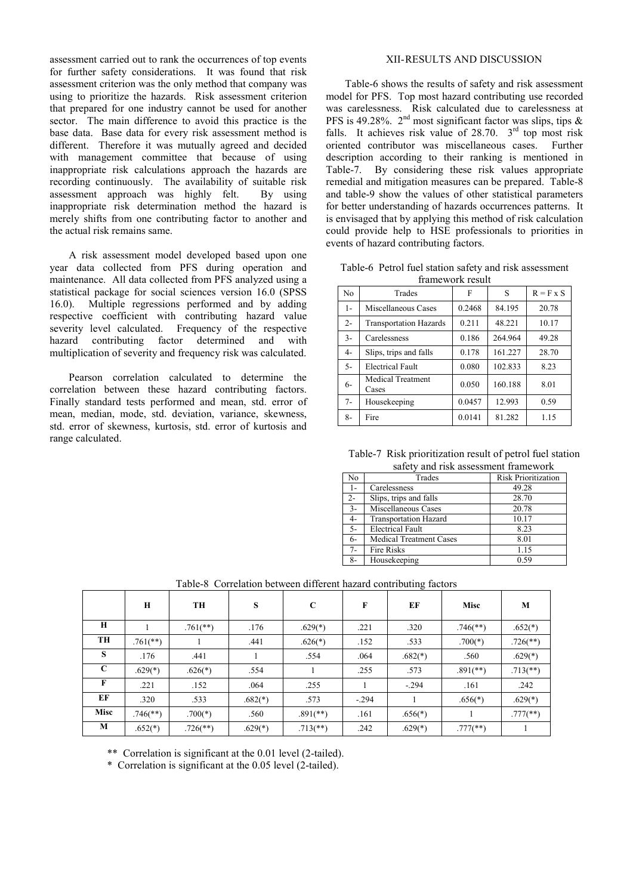assessment carried out to rank the occurrences of top events for further safety considerations. It was found that risk assessment criterion was the only method that company was using to prioritize the hazards. Risk assessment criterion that prepared for one industry cannot be used for another sector. The main difference to avoid this practice is the base data. Base data for every risk assessment method is different. Therefore it was mutually agreed and decided with management committee that because of using inappropriate risk calculations approach the hazards are recording continuously. The availability of suitable risk assessment approach was highly felt. By using inappropriate risk determination method the hazard is merely shifts from one contributing factor to another and the actual risk remains same.

 A risk assessment model developed based upon one year data collected from PFS during operation and maintenance. All data collected from PFS analyzed using a statistical package for social sciences version 16.0 (SPSS 16.0). Multiple regressions performed and by adding respective coefficient with contributing hazard value severity level calculated. Frequency of the respective hazard contributing factor determined and with multiplication of severity and frequency risk was calculated.

 Pearson correlation calculated to determine the correlation between these hazard contributing factors. Finally standard tests performed and mean, std. error of mean, median, mode, std. deviation, variance, skewness, std. error of skewness, kurtosis, std. error of kurtosis and range calculated.

## XII- RESULTS AND DISCUSSION

 Table-6 shows the results of safety and risk assessment model for PFS. Top most hazard contributing use recorded was carelessness. Risk calculated due to carelessness at PFS is 49.28%.  $2<sup>nd</sup>$  most significant factor was slips, tips & falls. It achieves risk value of  $28.70$ .  $3<sup>rd</sup>$  top most risk oriented contributor was miscellaneous cases. Further description according to their ranking is mentioned in Table-7. By considering these risk values appropriate remedial and mitigation measures can be prepared. Table-8 and table-9 show the values of other statistical parameters for better understanding of hazards occurrences patterns. It is envisaged that by applying this method of risk calculation could provide help to HSE professionals to priorities in events of hazard contributing factors.

| Table-6 Petrol fuel station safety and risk assessment |
|--------------------------------------------------------|
| framework result                                       |

| No    | Trades                        | F      | S       | $R = F \times S$ |
|-------|-------------------------------|--------|---------|------------------|
| $1-$  | Miscellaneous Cases           | 0.2468 | 84.195  | 20.78            |
| $2 -$ | <b>Transportation Hazards</b> | 0.211  | 48.221  | 10.17            |
| $3-$  | Carelessness                  | 0.186  | 264.964 | 49.28            |
| $4-$  | Slips, trips and falls        | 0.178  | 161.227 | 28.70            |
| $5-$  | Electrical Fault              | 0.080  | 102.833 | 8.23             |
| 6-    | Medical Treatment<br>Cases    | 0.050  | 160.188 | 8.01             |
| $7 -$ | Housekeeping                  | 0.0457 | 12.993  | 0.59             |
| 8-    | Fire                          | 0.0141 | 81.282  | 1.15             |

| Table-7 Risk prioritization result of petrol fuel station |
|-----------------------------------------------------------|
| safety and risk assessment framework                      |

| No    | Trades                         | <b>Risk Prioritization</b> |  |  |  |  |  |  |  |  |
|-------|--------------------------------|----------------------------|--|--|--|--|--|--|--|--|
|       | Carelessness                   | 49.28                      |  |  |  |  |  |  |  |  |
| $2 -$ | Slips, trips and falls         | 28.70                      |  |  |  |  |  |  |  |  |
| $3 -$ | Miscellaneous Cases            | 20.78                      |  |  |  |  |  |  |  |  |
| 4-    | <b>Transportation Hazard</b>   | 10.17                      |  |  |  |  |  |  |  |  |
| $5 -$ | <b>Electrical Fault</b>        | 8.23                       |  |  |  |  |  |  |  |  |
| $6 -$ | <b>Medical Treatment Cases</b> | 8.01                       |  |  |  |  |  |  |  |  |
| 7.    | Fire Risks                     | 1.15                       |  |  |  |  |  |  |  |  |
| 8-    | Housekeeping                   | 0.59                       |  |  |  |  |  |  |  |  |

Table-8 Correlation between different hazard contributing factors

|             | $\bf{H}$               | TH                     | S         | $\mathbf C$            | F       | EF        | <b>Misc</b>            | M                      |
|-------------|------------------------|------------------------|-----------|------------------------|---------|-----------|------------------------|------------------------|
| $\mathbf H$ |                        | $.761$ (**)            | .176      | $.629(*)$              | .221    | .320      | $.746$ <sup>**</sup> ) | $.652(*)$              |
| TH          | $.761$ <sup>**</sup> ) |                        | .441      | $.626(*)$              | .152    | .533      | $.700(*)$              | $.726$ <sup>**</sup> ) |
| S           | .176                   | .441                   |           | .554                   | .064    | $.682(*)$ | .560                   | $.629(*)$              |
| $\mathbf C$ | $.629(*)$              | $.626(*)$              | .554      |                        | .255    | .573      | $.891$ (**)            | $.713$ <sup>**</sup> ) |
| F           | .221                   | .152                   | .064      | .255                   |         | $-.294$   | .161                   | .242                   |
| EF          | .320                   | .533                   | $.682(*)$ | .573                   | $-.294$ |           | $.656(*)$              | $.629(*)$              |
| <b>Misc</b> | $.746$ <sup>**</sup> ) | $.700(*)$              | .560      | $.891$ (**)            | .161    | $.656(*)$ |                        | $.777$ (**)            |
| M           | $.652(*)$              | $.726$ <sup>**</sup> ) | $.629(*)$ | $.713$ <sup>**</sup> ) | .242    | $.629(*)$ | $.777$ (**)            |                        |

\*\* Correlation is significant at the 0.01 level (2-tailed).

\* Correlation is significant at the 0.05 level (2-tailed).